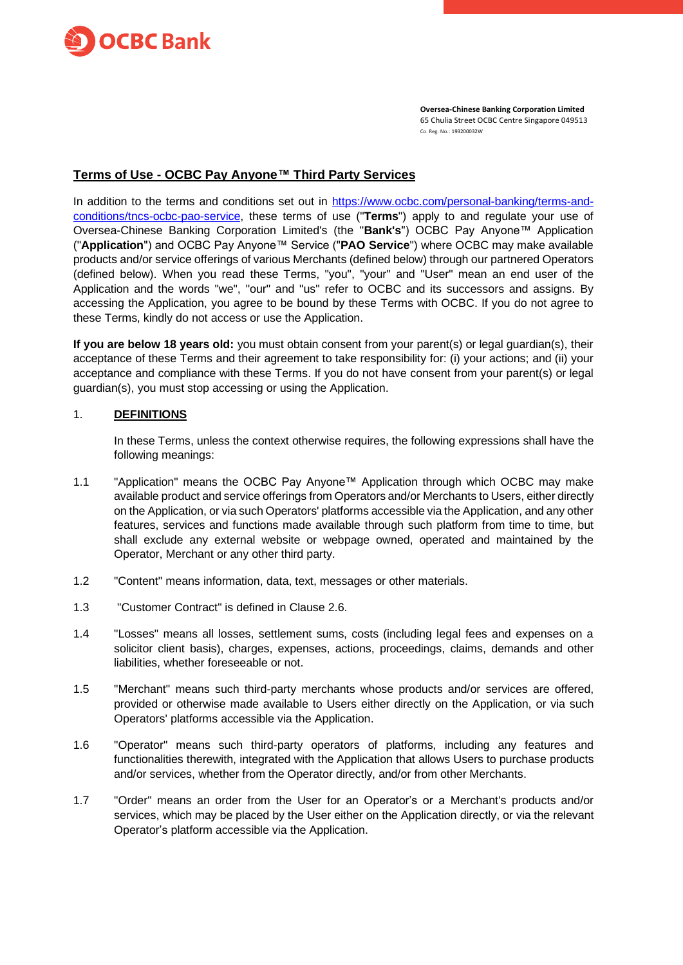

**Oversea-Chinese Banking Corporation Limited** 65 Chulia Street OCBC Centre Singapore 049513 Co. Reg. No.: 193200032W

## **Terms of Use - OCBC Pay Anyone™ Third Party Services**

In addition to the terms and conditions set out in [https://www.ocbc.com/personal-banking/terms-and](https://www.ocbc.com/personal-banking/terms-and-conditions/tncs-ocbc-pao-service)[conditions/tncs-ocbc-pao-service,](https://www.ocbc.com/personal-banking/terms-and-conditions/tncs-ocbc-pao-service) these terms of use ("**Terms**") apply to and regulate your use of Oversea-Chinese Banking Corporation Limited's (the "**Bank's**") OCBC Pay Anyone™ Application ("**Application**") and OCBC Pay Anyone™ Service ("**PAO Service**") where OCBC may make available products and/or service offerings of various Merchants (defined below) through our partnered Operators (defined below). When you read these Terms, "you", "your" and "User" mean an end user of the Application and the words "we", "our" and "us" refer to OCBC and its successors and assigns. By accessing the Application, you agree to be bound by these Terms with OCBC. If you do not agree to these Terms, kindly do not access or use the Application.

**If you are below 18 years old:** you must obtain consent from your parent(s) or legal guardian(s), their acceptance of these Terms and their agreement to take responsibility for: (i) your actions; and (ii) your acceptance and compliance with these Terms. If you do not have consent from your parent(s) or legal guardian(s), you must stop accessing or using the Application.

#### 1. **DEFINITIONS**

In these Terms, unless the context otherwise requires, the following expressions shall have the following meanings:

- 1.1 "Application" means the OCBC Pay Anyone™ Application through which OCBC may make available product and service offerings from Operators and/or Merchants to Users, either directly on the Application, or via such Operators' platforms accessible via the Application, and any other features, services and functions made available through such platform from time to time, but shall exclude any external website or webpage owned, operated and maintained by the Operator, Merchant or any other third party.
- 1.2 "Content" means information, data, text, messages or other materials.
- 1.3 "Customer Contract" is defined in Clause [2.6.](#page-1-0)
- 1.4 "Losses" means all losses, settlement sums, costs (including legal fees and expenses on a solicitor client basis), charges, expenses, actions, proceedings, claims, demands and other liabilities, whether foreseeable or not.
- 1.5 "Merchant" means such third-party merchants whose products and/or services are offered, provided or otherwise made available to Users either directly on the Application, or via such Operators' platforms accessible via the Application.
- 1.6 "Operator" means such third-party operators of platforms, including any features and functionalities therewith, integrated with the Application that allows Users to purchase products and/or services, whether from the Operator directly, and/or from other Merchants.
- 1.7 "Order" means an order from the User for an Operator's or a Merchant's products and/or services, which may be placed by the User either on the Application directly, or via the relevant Operator's platform accessible via the Application.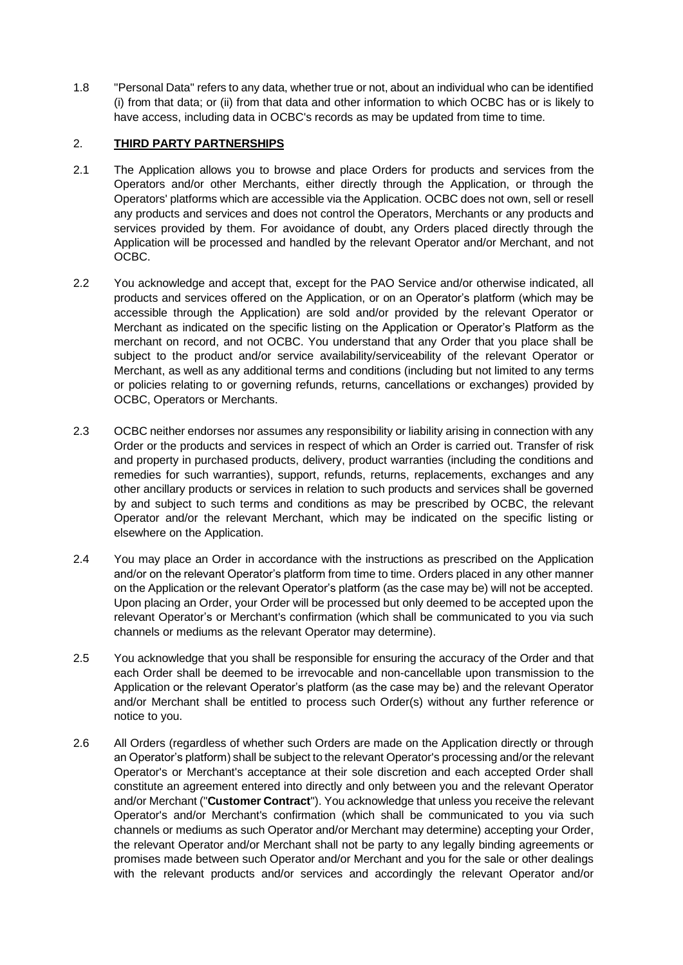1.8 "Personal Data" refers to any data, whether true or not, about an individual who can be identified (i) from that data; or (ii) from that data and other information to which OCBC has or is likely to have access, including data in OCBC's records as may be updated from time to time.

## 2. **THIRD PARTY PARTNERSHIPS**

- 2.1 The Application allows you to browse and place Orders for products and services from the Operators and/or other Merchants, either directly through the Application, or through the Operators' platforms which are accessible via the Application. OCBC does not own, sell or resell any products and services and does not control the Operators, Merchants or any products and services provided by them. For avoidance of doubt, any Orders placed directly through the Application will be processed and handled by the relevant Operator and/or Merchant, and not OCBC.
- 2.2 You acknowledge and accept that, except for the PAO Service and/or otherwise indicated, all products and services offered on the Application, or on an Operator's platform (which may be accessible through the Application) are sold and/or provided by the relevant Operator or Merchant as indicated on the specific listing on the Application or Operator's Platform as the merchant on record, and not OCBC. You understand that any Order that you place shall be subject to the product and/or service availability/serviceability of the relevant Operator or Merchant, as well as any additional terms and conditions (including but not limited to any terms or policies relating to or governing refunds, returns, cancellations or exchanges) provided by OCBC, Operators or Merchants.
- 2.3 OCBC neither endorses nor assumes any responsibility or liability arising in connection with any Order or the products and services in respect of which an Order is carried out. Transfer of risk and property in purchased products, delivery, product warranties (including the conditions and remedies for such warranties), support, refunds, returns, replacements, exchanges and any other ancillary products or services in relation to such products and services shall be governed by and subject to such terms and conditions as may be prescribed by OCBC, the relevant Operator and/or the relevant Merchant, which may be indicated on the specific listing or elsewhere on the Application.
- 2.4 You may place an Order in accordance with the instructions as prescribed on the Application and/or on the relevant Operator's platform from time to time. Orders placed in any other manner on the Application or the relevant Operator's platform (as the case may be) will not be accepted. Upon placing an Order, your Order will be processed but only deemed to be accepted upon the relevant Operator's or Merchant's confirmation (which shall be communicated to you via such channels or mediums as the relevant Operator may determine).
- 2.5 You acknowledge that you shall be responsible for ensuring the accuracy of the Order and that each Order shall be deemed to be irrevocable and non-cancellable upon transmission to the Application or the relevant Operator's platform (as the case may be) and the relevant Operator and/or Merchant shall be entitled to process such Order(s) without any further reference or notice to you.
- <span id="page-1-0"></span>2.6 All Orders (regardless of whether such Orders are made on the Application directly or through an Operator's platform) shall be subject to the relevant Operator's processing and/or the relevant Operator's or Merchant's acceptance at their sole discretion and each accepted Order shall constitute an agreement entered into directly and only between you and the relevant Operator and/or Merchant ("**Customer Contract**"). You acknowledge that unless you receive the relevant Operator's and/or Merchant's confirmation (which shall be communicated to you via such channels or mediums as such Operator and/or Merchant may determine) accepting your Order, the relevant Operator and/or Merchant shall not be party to any legally binding agreements or promises made between such Operator and/or Merchant and you for the sale or other dealings with the relevant products and/or services and accordingly the relevant Operator and/or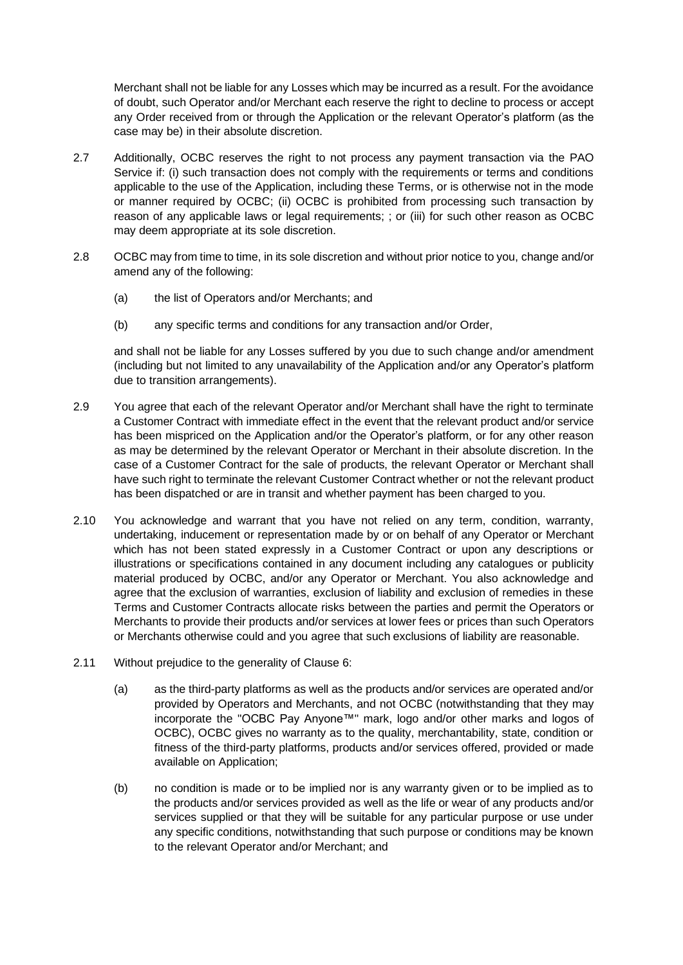Merchant shall not be liable for any Losses which may be incurred as a result. For the avoidance of doubt, such Operator and/or Merchant each reserve the right to decline to process or accept any Order received from or through the Application or the relevant Operator's platform (as the case may be) in their absolute discretion.

- 2.7 Additionally, OCBC reserves the right to not process any payment transaction via the PAO Service if: (i) such transaction does not comply with the requirements or terms and conditions applicable to the use of the Application, including these Terms, or is otherwise not in the mode or manner required by OCBC; (ii) OCBC is prohibited from processing such transaction by reason of any applicable laws or legal requirements; ; or (iii) for such other reason as OCBC may deem appropriate at its sole discretion.
- 2.8 OCBC may from time to time, in its sole discretion and without prior notice to you, change and/or amend any of the following:
	- (a) the list of Operators and/or Merchants; and
	- (b) any specific terms and conditions for any transaction and/or Order,

and shall not be liable for any Losses suffered by you due to such change and/or amendment (including but not limited to any unavailability of the Application and/or any Operator's platform due to transition arrangements).

- 2.9 You agree that each of the relevant Operator and/or Merchant shall have the right to terminate a Customer Contract with immediate effect in the event that the relevant product and/or service has been mispriced on the Application and/or the Operator's platform, or for any other reason as may be determined by the relevant Operator or Merchant in their absolute discretion. In the case of a Customer Contract for the sale of products, the relevant Operator or Merchant shall have such right to terminate the relevant Customer Contract whether or not the relevant product has been dispatched or are in transit and whether payment has been charged to you.
- 2.10 You acknowledge and warrant that you have not relied on any term, condition, warranty, undertaking, inducement or representation made by or on behalf of any Operator or Merchant which has not been stated expressly in a Customer Contract or upon any descriptions or illustrations or specifications contained in any document including any catalogues or publicity material produced by OCBC, and/or any Operator or Merchant. You also acknowledge and agree that the exclusion of warranties, exclusion of liability and exclusion of remedies in these Terms and Customer Contracts allocate risks between the parties and permit the Operators or Merchants to provide their products and/or services at lower fees or prices than such Operators or Merchants otherwise could and you agree that such exclusions of liability are reasonable.
- 2.11 Without prejudice to the generality of Clause [6:](#page-5-0)
	- (a) as the third-party platforms as well as the products and/or services are operated and/or provided by Operators and Merchants, and not OCBC (notwithstanding that they may incorporate the "OCBC Pay Anyone™" mark, logo and/or other marks and logos of OCBC), OCBC gives no warranty as to the quality, merchantability, state, condition or fitness of the third-party platforms, products and/or services offered, provided or made available on Application;
	- (b) no condition is made or to be implied nor is any warranty given or to be implied as to the products and/or services provided as well as the life or wear of any products and/or services supplied or that they will be suitable for any particular purpose or use under any specific conditions, notwithstanding that such purpose or conditions may be known to the relevant Operator and/or Merchant; and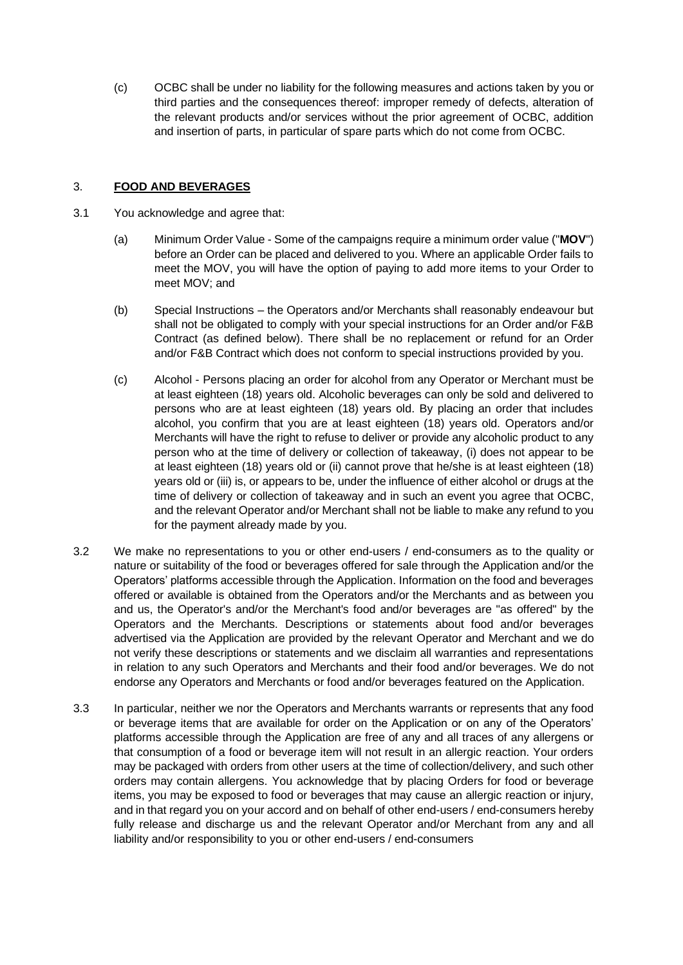(c) OCBC shall be under no liability for the following measures and actions taken by you or third parties and the consequences thereof: improper remedy of defects, alteration of the relevant products and/or services without the prior agreement of OCBC, addition and insertion of parts, in particular of spare parts which do not come from OCBC.

## 3. **FOOD AND BEVERAGES**

- 3.1 You acknowledge and agree that:
	- (a) Minimum Order Value Some of the campaigns require a minimum order value ("**MOV**") before an Order can be placed and delivered to you. Where an applicable Order fails to meet the MOV, you will have the option of paying to add more items to your Order to meet MOV; and
	- (b) Special Instructions the Operators and/or Merchants shall reasonably endeavour but shall not be obligated to comply with your special instructions for an Order and/or F&B Contract (as defined below). There shall be no replacement or refund for an Order and/or F&B Contract which does not conform to special instructions provided by you.
	- (c) Alcohol Persons placing an order for alcohol from any Operator or Merchant must be at least eighteen (18) years old. Alcoholic beverages can only be sold and delivered to persons who are at least eighteen (18) years old. By placing an order that includes alcohol, you confirm that you are at least eighteen (18) years old. Operators and/or Merchants will have the right to refuse to deliver or provide any alcoholic product to any person who at the time of delivery or collection of takeaway, (i) does not appear to be at least eighteen (18) years old or (ii) cannot prove that he/she is at least eighteen (18) years old or (iii) is, or appears to be, under the influence of either alcohol or drugs at the time of delivery or collection of takeaway and in such an event you agree that OCBC, and the relevant Operator and/or Merchant shall not be liable to make any refund to you for the payment already made by you.
- 3.2 We make no representations to you or other end-users / end-consumers as to the quality or nature or suitability of the food or beverages offered for sale through the Application and/or the Operators' platforms accessible through the Application. Information on the food and beverages offered or available is obtained from the Operators and/or the Merchants and as between you and us, the Operator's and/or the Merchant's food and/or beverages are "as offered" by the Operators and the Merchants. Descriptions or statements about food and/or beverages advertised via the Application are provided by the relevant Operator and Merchant and we do not verify these descriptions or statements and we disclaim all warranties and representations in relation to any such Operators and Merchants and their food and/or beverages. We do not endorse any Operators and Merchants or food and/or beverages featured on the Application.
- 3.3 In particular, neither we nor the Operators and Merchants warrants or represents that any food or beverage items that are available for order on the Application or on any of the Operators' platforms accessible through the Application are free of any and all traces of any allergens or that consumption of a food or beverage item will not result in an allergic reaction. Your orders may be packaged with orders from other users at the time of collection/delivery, and such other orders may contain allergens. You acknowledge that by placing Orders for food or beverage items, you may be exposed to food or beverages that may cause an allergic reaction or injury, and in that regard you on your accord and on behalf of other end-users / end-consumers hereby fully release and discharge us and the relevant Operator and/or Merchant from any and all liability and/or responsibility to you or other end-users / end-consumers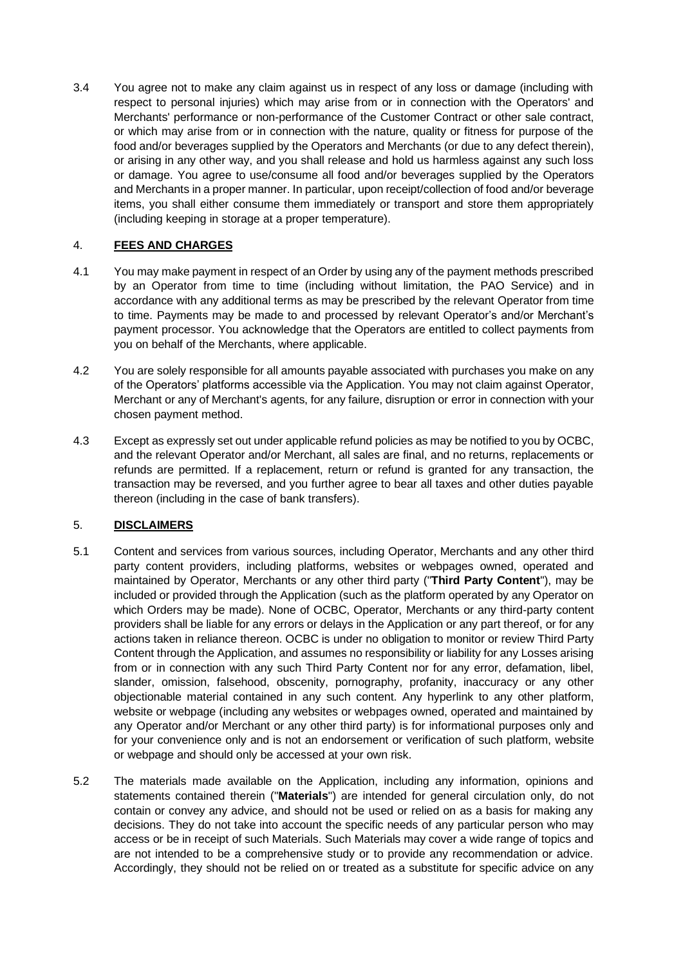3.4 You agree not to make any claim against us in respect of any loss or damage (including with respect to personal injuries) which may arise from or in connection with the Operators' and Merchants' performance or non-performance of the Customer Contract or other sale contract, or which may arise from or in connection with the nature, quality or fitness for purpose of the food and/or beverages supplied by the Operators and Merchants (or due to any defect therein), or arising in any other way, and you shall release and hold us harmless against any such loss or damage. You agree to use/consume all food and/or beverages supplied by the Operators and Merchants in a proper manner. In particular, upon receipt/collection of food and/or beverage items, you shall either consume them immediately or transport and store them appropriately (including keeping in storage at a proper temperature).

# 4. **FEES AND CHARGES**

- 4.1 You may make payment in respect of an Order by using any of the payment methods prescribed by an Operator from time to time (including without limitation, the PAO Service) and in accordance with any additional terms as may be prescribed by the relevant Operator from time to time. Payments may be made to and processed by relevant Operator's and/or Merchant's payment processor. You acknowledge that the Operators are entitled to collect payments from you on behalf of the Merchants, where applicable.
- 4.2 You are solely responsible for all amounts payable associated with purchases you make on any of the Operators' platforms accessible via the Application. You may not claim against Operator, Merchant or any of Merchant's agents, for any failure, disruption or error in connection with your chosen payment method.
- 4.3 Except as expressly set out under applicable refund policies as may be notified to you by OCBC, and the relevant Operator and/or Merchant, all sales are final, and no returns, replacements or refunds are permitted. If a replacement, return or refund is granted for any transaction, the transaction may be reversed, and you further agree to bear all taxes and other duties payable thereon (including in the case of bank transfers).

# 5. **DISCLAIMERS**

- 5.1 Content and services from various sources, including Operator, Merchants and any other third party content providers, including platforms, websites or webpages owned, operated and maintained by Operator, Merchants or any other third party ("**Third Party Content**"), may be included or provided through the Application (such as the platform operated by any Operator on which Orders may be made). None of OCBC, Operator, Merchants or any third-party content providers shall be liable for any errors or delays in the Application or any part thereof, or for any actions taken in reliance thereon. OCBC is under no obligation to monitor or review Third Party Content through the Application, and assumes no responsibility or liability for any Losses arising from or in connection with any such Third Party Content nor for any error, defamation, libel, slander, omission, falsehood, obscenity, pornography, profanity, inaccuracy or any other objectionable material contained in any such content. Any hyperlink to any other platform, website or webpage (including any websites or webpages owned, operated and maintained by any Operator and/or Merchant or any other third party) is for informational purposes only and for your convenience only and is not an endorsement or verification of such platform, website or webpage and should only be accessed at your own risk.
- 5.2 The materials made available on the Application, including any information, opinions and statements contained therein ("**Materials**") are intended for general circulation only, do not contain or convey any advice, and should not be used or relied on as a basis for making any decisions. They do not take into account the specific needs of any particular person who may access or be in receipt of such Materials. Such Materials may cover a wide range of topics and are not intended to be a comprehensive study or to provide any recommendation or advice. Accordingly, they should not be relied on or treated as a substitute for specific advice on any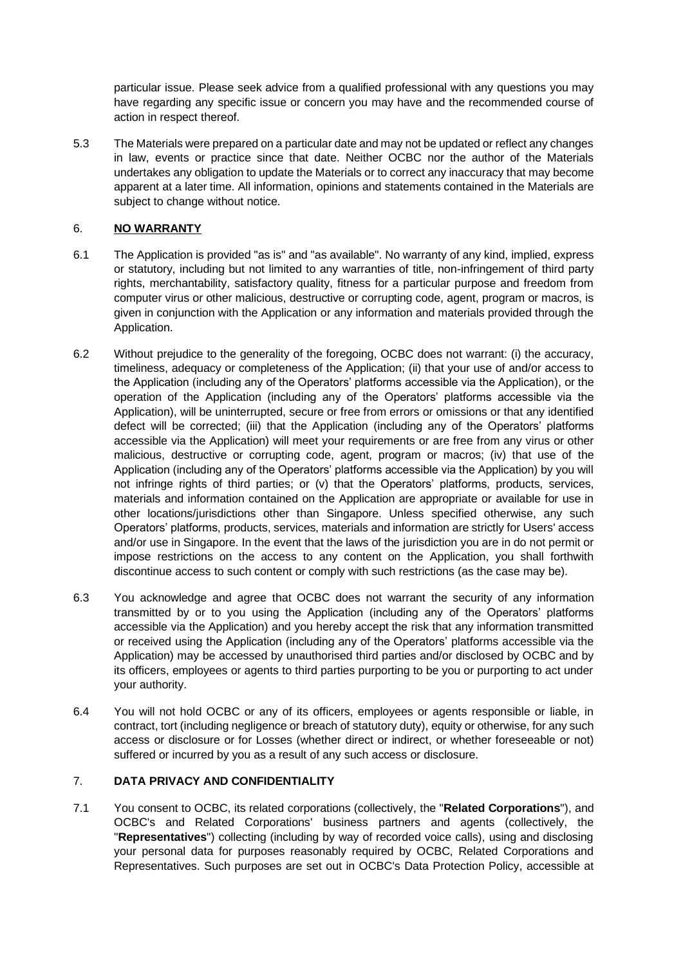particular issue. Please seek advice from a qualified professional with any questions you may have regarding any specific issue or concern you may have and the recommended course of action in respect thereof.

5.3 The Materials were prepared on a particular date and may not be updated or reflect any changes in law, events or practice since that date. Neither OCBC nor the author of the Materials undertakes any obligation to update the Materials or to correct any inaccuracy that may become apparent at a later time. All information, opinions and statements contained in the Materials are subject to change without notice.

## <span id="page-5-0"></span>6. **NO WARRANTY**

- 6.1 The Application is provided "as is" and "as available". No warranty of any kind, implied, express or statutory, including but not limited to any warranties of title, non-infringement of third party rights, merchantability, satisfactory quality, fitness for a particular purpose and freedom from computer virus or other malicious, destructive or corrupting code, agent, program or macros, is given in conjunction with the Application or any information and materials provided through the Application.
- 6.2 Without prejudice to the generality of the foregoing, OCBC does not warrant: (i) the accuracy, timeliness, adequacy or completeness of the Application; (ii) that your use of and/or access to the Application (including any of the Operators' platforms accessible via the Application), or the operation of the Application (including any of the Operators' platforms accessible via the Application), will be uninterrupted, secure or free from errors or omissions or that any identified defect will be corrected; (iii) that the Application (including any of the Operators' platforms accessible via the Application) will meet your requirements or are free from any virus or other malicious, destructive or corrupting code, agent, program or macros; (iv) that use of the Application (including any of the Operators' platforms accessible via the Application) by you will not infringe rights of third parties; or (v) that the Operators' platforms, products, services, materials and information contained on the Application are appropriate or available for use in other locations/jurisdictions other than Singapore. Unless specified otherwise, any such Operators' platforms, products, services, materials and information are strictly for Users' access and/or use in Singapore. In the event that the laws of the jurisdiction you are in do not permit or impose restrictions on the access to any content on the Application, you shall forthwith discontinue access to such content or comply with such restrictions (as the case may be).
- 6.3 You acknowledge and agree that OCBC does not warrant the security of any information transmitted by or to you using the Application (including any of the Operators' platforms accessible via the Application) and you hereby accept the risk that any information transmitted or received using the Application (including any of the Operators' platforms accessible via the Application) may be accessed by unauthorised third parties and/or disclosed by OCBC and by its officers, employees or agents to third parties purporting to be you or purporting to act under your authority.
- 6.4 You will not hold OCBC or any of its officers, employees or agents responsible or liable, in contract, tort (including negligence or breach of statutory duty), equity or otherwise, for any such access or disclosure or for Losses (whether direct or indirect, or whether foreseeable or not) suffered or incurred by you as a result of any such access or disclosure.

# 7. **DATA PRIVACY AND CONFIDENTIALITY**

7.1 You consent to OCBC, its related corporations (collectively, the "**Related Corporations**"), and OCBC's and Related Corporations' business partners and agents (collectively, the "**Representatives**") collecting (including by way of recorded voice calls), using and disclosing your personal data for purposes reasonably required by OCBC, Related Corporations and Representatives. Such purposes are set out in OCBC's Data Protection Policy, accessible at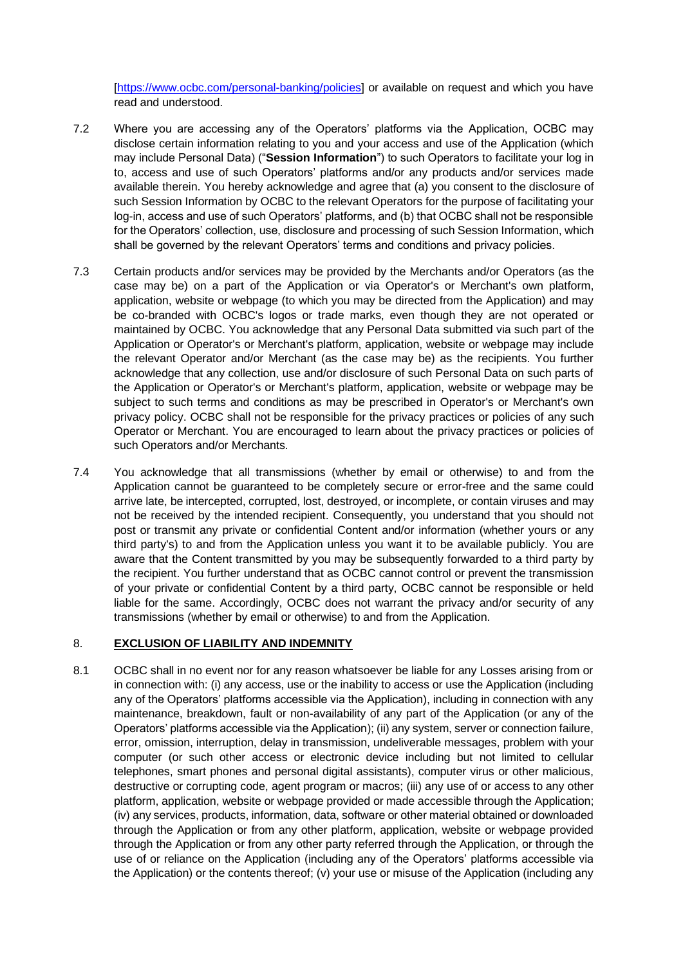[\[https://www.ocbc.com/personal-banking/policies\]](https://www.ocbc.com/personal-banking/policies) or available on request and which you have read and understood.

- 7.2 Where you are accessing any of the Operators' platforms via the Application, OCBC may disclose certain information relating to you and your access and use of the Application (which may include Personal Data) ("**Session Information**") to such Operators to facilitate your log in to, access and use of such Operators' platforms and/or any products and/or services made available therein. You hereby acknowledge and agree that (a) you consent to the disclosure of such Session Information by OCBC to the relevant Operators for the purpose of facilitating your log-in, access and use of such Operators' platforms, and (b) that OCBC shall not be responsible for the Operators' collection, use, disclosure and processing of such Session Information, which shall be governed by the relevant Operators' terms and conditions and privacy policies.
- 7.3 Certain products and/or services may be provided by the Merchants and/or Operators (as the case may be) on a part of the Application or via Operator's or Merchant's own platform, application, website or webpage (to which you may be directed from the Application) and may be co-branded with OCBC's logos or trade marks, even though they are not operated or maintained by OCBC. You acknowledge that any Personal Data submitted via such part of the Application or Operator's or Merchant's platform, application, website or webpage may include the relevant Operator and/or Merchant (as the case may be) as the recipients. You further acknowledge that any collection, use and/or disclosure of such Personal Data on such parts of the Application or Operator's or Merchant's platform, application, website or webpage may be subject to such terms and conditions as may be prescribed in Operator's or Merchant's own privacy policy. OCBC shall not be responsible for the privacy practices or policies of any such Operator or Merchant. You are encouraged to learn about the privacy practices or policies of such Operators and/or Merchants.
- 7.4 You acknowledge that all transmissions (whether by email or otherwise) to and from the Application cannot be guaranteed to be completely secure or error-free and the same could arrive late, be intercepted, corrupted, lost, destroyed, or incomplete, or contain viruses and may not be received by the intended recipient. Consequently, you understand that you should not post or transmit any private or confidential Content and/or information (whether yours or any third party's) to and from the Application unless you want it to be available publicly. You are aware that the Content transmitted by you may be subsequently forwarded to a third party by the recipient. You further understand that as OCBC cannot control or prevent the transmission of your private or confidential Content by a third party, OCBC cannot be responsible or held liable for the same. Accordingly, OCBC does not warrant the privacy and/or security of any transmissions (whether by email or otherwise) to and from the Application.

### 8. **EXCLUSION OF LIABILITY AND INDEMNITY**

8.1 OCBC shall in no event nor for any reason whatsoever be liable for any Losses arising from or in connection with: (i) any access, use or the inability to access or use the Application (including any of the Operators' platforms accessible via the Application), including in connection with any maintenance, breakdown, fault or non-availability of any part of the Application (or any of the Operators' platforms accessible via the Application); (ii) any system, server or connection failure, error, omission, interruption, delay in transmission, undeliverable messages, problem with your computer (or such other access or electronic device including but not limited to cellular telephones, smart phones and personal digital assistants), computer virus or other malicious, destructive or corrupting code, agent program or macros; (iii) any use of or access to any other platform, application, website or webpage provided or made accessible through the Application; (iv) any services, products, information, data, software or other material obtained or downloaded through the Application or from any other platform, application, website or webpage provided through the Application or from any other party referred through the Application, or through the use of or reliance on the Application (including any of the Operators' platforms accessible via the Application) or the contents thereof; (v) your use or misuse of the Application (including any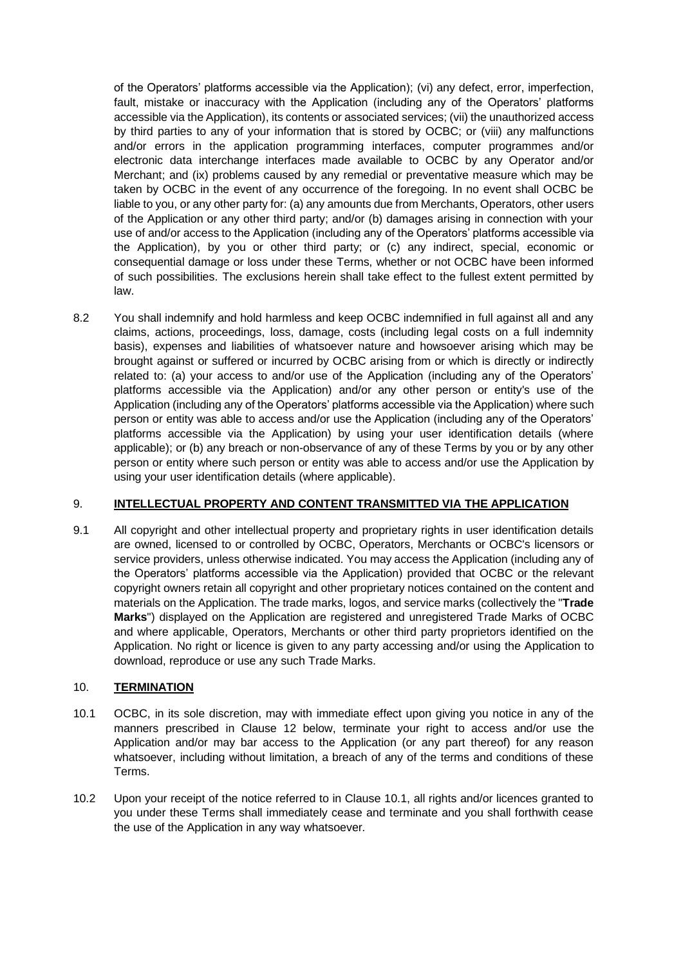of the Operators' platforms accessible via the Application); (vi) any defect, error, imperfection, fault, mistake or inaccuracy with the Application (including any of the Operators' platforms accessible via the Application), its contents or associated services; (vii) the unauthorized access by third parties to any of your information that is stored by OCBC; or (viii) any malfunctions and/or errors in the application programming interfaces, computer programmes and/or electronic data interchange interfaces made available to OCBC by any Operator and/or Merchant; and (ix) problems caused by any remedial or preventative measure which may be taken by OCBC in the event of any occurrence of the foregoing. In no event shall OCBC be liable to you, or any other party for: (a) any amounts due from Merchants, Operators, other users of the Application or any other third party; and/or (b) damages arising in connection with your use of and/or access to the Application (including any of the Operators' platforms accessible via the Application), by you or other third party; or (c) any indirect, special, economic or consequential damage or loss under these Terms, whether or not OCBC have been informed of such possibilities. The exclusions herein shall take effect to the fullest extent permitted by law.

8.2 You shall indemnify and hold harmless and keep OCBC indemnified in full against all and any claims, actions, proceedings, loss, damage, costs (including legal costs on a full indemnity basis), expenses and liabilities of whatsoever nature and howsoever arising which may be brought against or suffered or incurred by OCBC arising from or which is directly or indirectly related to: (a) your access to and/or use of the Application (including any of the Operators' platforms accessible via the Application) and/or any other person or entity's use of the Application (including any of the Operators' platforms accessible via the Application) where such person or entity was able to access and/or use the Application (including any of the Operators' platforms accessible via the Application) by using your user identification details (where applicable); or (b) any breach or non-observance of any of these Terms by you or by any other person or entity where such person or entity was able to access and/or use the Application by using your user identification details (where applicable).

### 9. **INTELLECTUAL PROPERTY AND CONTENT TRANSMITTED VIA THE APPLICATION**

9.1 All copyright and other intellectual property and proprietary rights in user identification details are owned, licensed to or controlled by OCBC, Operators, Merchants or OCBC's licensors or service providers, unless otherwise indicated. You may access the Application (including any of the Operators' platforms accessible via the Application) provided that OCBC or the relevant copyright owners retain all copyright and other proprietary notices contained on the content and materials on the Application. The trade marks, logos, and service marks (collectively the "**Trade Marks**") displayed on the Application are registered and unregistered Trade Marks of OCBC and where applicable, Operators, Merchants or other third party proprietors identified on the Application. No right or licence is given to any party accessing and/or using the Application to download, reproduce or use any such Trade Marks.

### 10. **TERMINATION**

- <span id="page-7-0"></span>10.1 OCBC, in its sole discretion, may with immediate effect upon giving you notice in any of the manners prescribed in Clause 12 below, terminate your right to access and/or use the Application and/or may bar access to the Application (or any part thereof) for any reason whatsoever, including without limitation, a breach of any of the terms and conditions of these Terms.
- 10.2 Upon your receipt of the notice referred to in Clause [10.1,](#page-7-0) all rights and/or licences granted to you under these Terms shall immediately cease and terminate and you shall forthwith cease the use of the Application in any way whatsoever.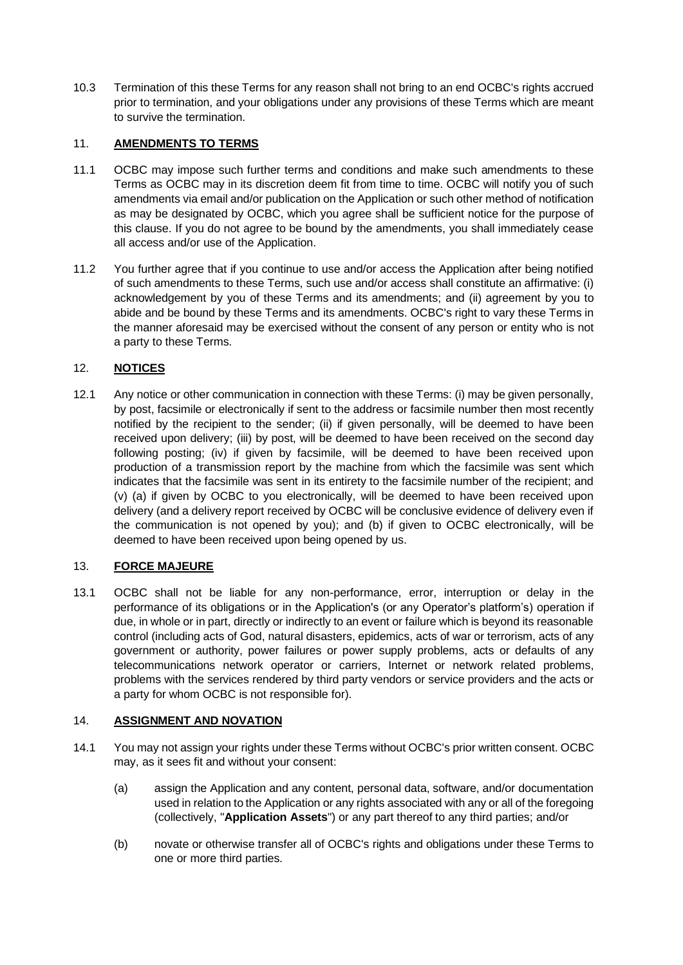10.3 Termination of this these Terms for any reason shall not bring to an end OCBC's rights accrued prior to termination, and your obligations under any provisions of these Terms which are meant to survive the termination.

## 11. **AMENDMENTS TO TERMS**

- 11.1 OCBC may impose such further terms and conditions and make such amendments to these Terms as OCBC may in its discretion deem fit from time to time. OCBC will notify you of such amendments via email and/or publication on the Application or such other method of notification as may be designated by OCBC, which you agree shall be sufficient notice for the purpose of this clause. If you do not agree to be bound by the amendments, you shall immediately cease all access and/or use of the Application.
- 11.2 You further agree that if you continue to use and/or access the Application after being notified of such amendments to these Terms, such use and/or access shall constitute an affirmative: (i) acknowledgement by you of these Terms and its amendments; and (ii) agreement by you to abide and be bound by these Terms and its amendments. OCBC's right to vary these Terms in the manner aforesaid may be exercised without the consent of any person or entity who is not a party to these Terms.

# 12. **NOTICES**

12.1 Any notice or other communication in connection with these Terms: (i) may be given personally, by post, facsimile or electronically if sent to the address or facsimile number then most recently notified by the recipient to the sender; (ii) if given personally, will be deemed to have been received upon delivery; (iii) by post, will be deemed to have been received on the second day following posting; (iv) if given by facsimile, will be deemed to have been received upon production of a transmission report by the machine from which the facsimile was sent which indicates that the facsimile was sent in its entirety to the facsimile number of the recipient; and (v) (a) if given by OCBC to you electronically, will be deemed to have been received upon delivery (and a delivery report received by OCBC will be conclusive evidence of delivery even if the communication is not opened by you); and (b) if given to OCBC electronically, will be deemed to have been received upon being opened by us.

### 13. **FORCE MAJEURE**

13.1 OCBC shall not be liable for any non-performance, error, interruption or delay in the performance of its obligations or in the Application's (or any Operator's platform's) operation if due, in whole or in part, directly or indirectly to an event or failure which is beyond its reasonable control (including acts of God, natural disasters, epidemics, acts of war or terrorism, acts of any government or authority, power failures or power supply problems, acts or defaults of any telecommunications network operator or carriers, Internet or network related problems, problems with the services rendered by third party vendors or service providers and the acts or a party for whom OCBC is not responsible for).

### 14. **ASSIGNMENT AND NOVATION**

- 14.1 You may not assign your rights under these Terms without OCBC's prior written consent. OCBC may, as it sees fit and without your consent:
	- (a) assign the Application and any content, personal data, software, and/or documentation used in relation to the Application or any rights associated with any or all of the foregoing (collectively, "**Application Assets**") or any part thereof to any third parties; and/or
	- (b) novate or otherwise transfer all of OCBC's rights and obligations under these Terms to one or more third parties.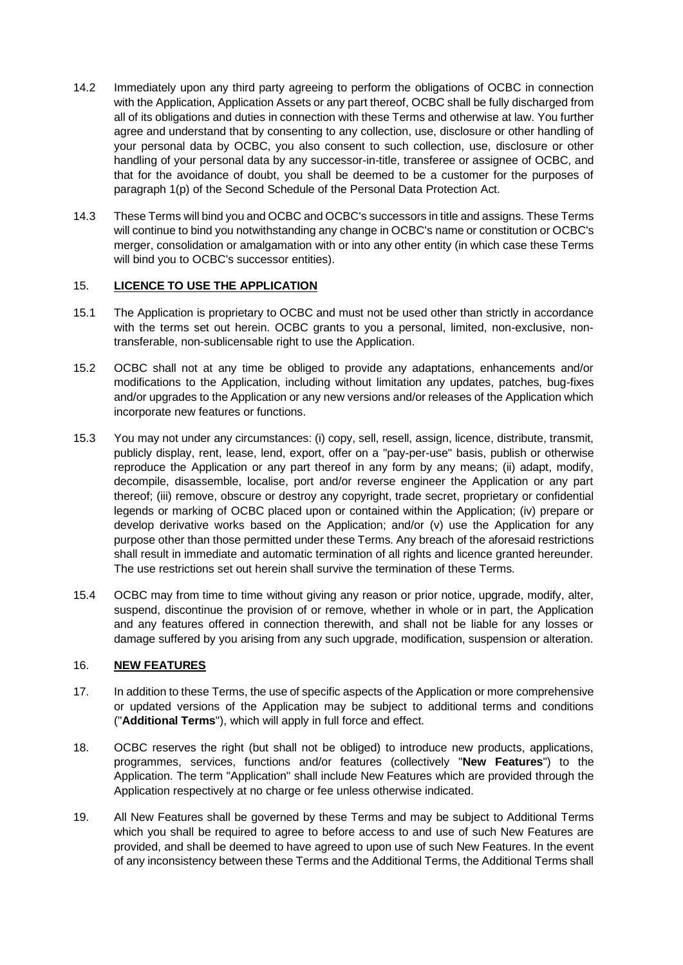- 14.2 Immediately upon any third party agreeing to perform the obligations of OCBC in connection with the Application, Application Assets or any part thereof, OCBC shall be fully discharged from all of its obligations and duties in connection with these Terms and otherwise at law. You further agree and understand that by consenting to any collection, use, disclosure or other handling of your personal data by OCBC, you also consent to such collection, use, disclosure or other handling of your personal data by any successor-in-title, transferee or assignee of OCBC, and that for the avoidance of doubt, you shall be deemed to be a customer for the purposes of paragraph 1(p) of the Second Schedule of the Personal Data Protection Act.
- 14.3 These Terms will bind you and OCBC and OCBC's successors in title and assigns. These Terms will continue to bind you notwithstanding any change in OCBC's name or constitution or OCBC's merger, consolidation or amalgamation with or into any other entity (in which case these Terms will bind you to OCBC's successor entities).

### 15. **LICENCE TO USE THE APPLICATION**

- 15.1 The Application is proprietary to OCBC and must not be used other than strictly in accordance with the terms set out herein. OCBC grants to you a personal, limited, non-exclusive, nontransferable, non-sublicensable right to use the Application.
- 15.2 OCBC shall not at any time be obliged to provide any adaptations, enhancements and/or modifications to the Application, including without limitation any updates, patches, bug-fixes and/or upgrades to the Application or any new versions and/or releases of the Application which incorporate new features or functions.
- 15.3 You may not under any circumstances: (i) copy, sell, resell, assign, licence, distribute, transmit, publicly display, rent, lease, lend, export, offer on a "pay-per-use" basis, publish or otherwise reproduce the Application or any part thereof in any form by any means; (ii) adapt, modify, decompile, disassemble, localise, port and/or reverse engineer the Application or any part thereof; (iii) remove, obscure or destroy any copyright, trade secret, proprietary or confidential legends or marking of OCBC placed upon or contained within the Application; (iv) prepare or develop derivative works based on the Application; and/or (v) use the Application for any purpose other than those permitted under these Terms. Any breach of the aforesaid restrictions shall result in immediate and automatic termination of all rights and licence granted hereunder. The use restrictions set out herein shall survive the termination of these Terms.
- 15.4 OCBC may from time to time without giving any reason or prior notice, upgrade, modify, alter, suspend, discontinue the provision of or remove, whether in whole or in part, the Application and any features offered in connection therewith, and shall not be liable for any losses or damage suffered by you arising from any such upgrade, modification, suspension or alteration.

### 16. **NEW FEATURES**

- 17. In addition to these Terms, the use of specific aspects of the Application or more comprehensive or updated versions of the Application may be subject to additional terms and conditions ("**Additional Terms**"), which will apply in full force and effect.
- 18. OCBC reserves the right (but shall not be obliged) to introduce new products, applications, programmes, services, functions and/or features (collectively "**New Features**") to the Application. The term "Application" shall include New Features which are provided through the Application respectively at no charge or fee unless otherwise indicated.
- 19. All New Features shall be governed by these Terms and may be subject to Additional Terms which you shall be required to agree to before access to and use of such New Features are provided, and shall be deemed to have agreed to upon use of such New Features. In the event of any inconsistency between these Terms and the Additional Terms, the Additional Terms shall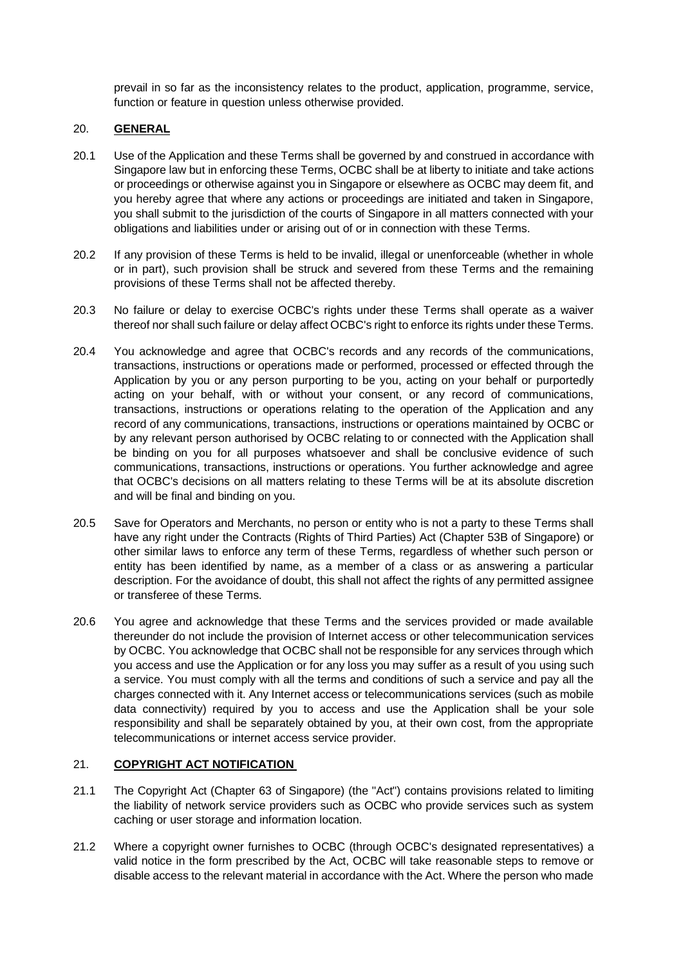prevail in so far as the inconsistency relates to the product, application, programme, service, function or feature in question unless otherwise provided.

### 20. **GENERAL**

- 20.1 Use of the Application and these Terms shall be governed by and construed in accordance with Singapore law but in enforcing these Terms, OCBC shall be at liberty to initiate and take actions or proceedings or otherwise against you in Singapore or elsewhere as OCBC may deem fit, and you hereby agree that where any actions or proceedings are initiated and taken in Singapore, you shall submit to the jurisdiction of the courts of Singapore in all matters connected with your obligations and liabilities under or arising out of or in connection with these Terms.
- 20.2 If any provision of these Terms is held to be invalid, illegal or unenforceable (whether in whole or in part), such provision shall be struck and severed from these Terms and the remaining provisions of these Terms shall not be affected thereby.
- 20.3 No failure or delay to exercise OCBC's rights under these Terms shall operate as a waiver thereof nor shall such failure or delay affect OCBC's right to enforce its rights under these Terms.
- 20.4 You acknowledge and agree that OCBC's records and any records of the communications, transactions, instructions or operations made or performed, processed or effected through the Application by you or any person purporting to be you, acting on your behalf or purportedly acting on your behalf, with or without your consent, or any record of communications, transactions, instructions or operations relating to the operation of the Application and any record of any communications, transactions, instructions or operations maintained by OCBC or by any relevant person authorised by OCBC relating to or connected with the Application shall be binding on you for all purposes whatsoever and shall be conclusive evidence of such communications, transactions, instructions or operations. You further acknowledge and agree that OCBC's decisions on all matters relating to these Terms will be at its absolute discretion and will be final and binding on you.
- 20.5 Save for Operators and Merchants, no person or entity who is not a party to these Terms shall have any right under the Contracts (Rights of Third Parties) Act (Chapter 53B of Singapore) or other similar laws to enforce any term of these Terms, regardless of whether such person or entity has been identified by name, as a member of a class or as answering a particular description. For the avoidance of doubt, this shall not affect the rights of any permitted assignee or transferee of these Terms.
- 20.6 You agree and acknowledge that these Terms and the services provided or made available thereunder do not include the provision of Internet access or other telecommunication services by OCBC. You acknowledge that OCBC shall not be responsible for any services through which you access and use the Application or for any loss you may suffer as a result of you using such a service. You must comply with all the terms and conditions of such a service and pay all the charges connected with it. Any Internet access or telecommunications services (such as mobile data connectivity) required by you to access and use the Application shall be your sole responsibility and shall be separately obtained by you, at their own cost, from the appropriate telecommunications or internet access service provider.

### 21. **COPYRIGHT ACT NOTIFICATION**

- 21.1 The Copyright Act (Chapter 63 of Singapore) (the "Act") contains provisions related to limiting the liability of network service providers such as OCBC who provide services such as system caching or user storage and information location.
- 21.2 Where a copyright owner furnishes to OCBC (through OCBC's designated representatives) a valid notice in the form prescribed by the Act, OCBC will take reasonable steps to remove or disable access to the relevant material in accordance with the Act. Where the person who made